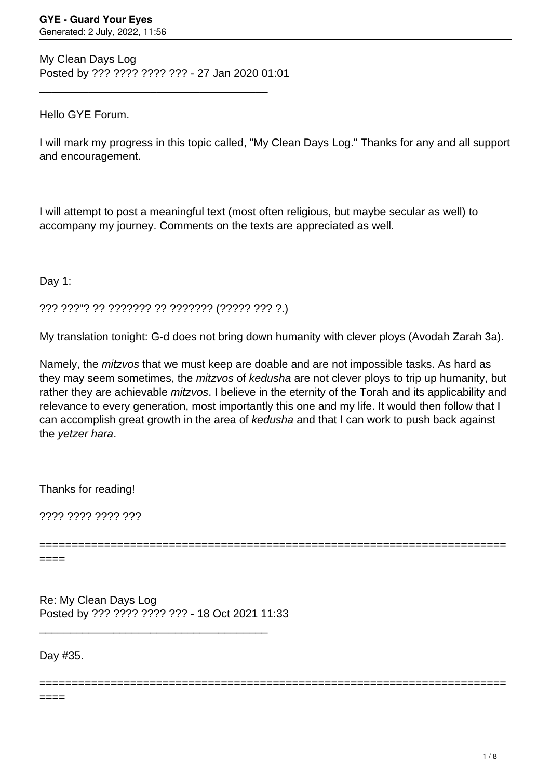My Clean Days Log Posted by ??? ???? ???? ??? - 27 Jan 2020 01:01

\_\_\_\_\_\_\_\_\_\_\_\_\_\_\_\_\_\_\_\_\_\_\_\_\_\_\_\_\_\_\_\_\_\_\_\_\_

## Hello GYE Forum.

I will mark my progress in this topic called, "My Clean Days Log." Thanks for any and all support and encouragement.

I will attempt to post a meaningful text (most often religious, but maybe secular as well) to accompany my journey. Comments on the texts are appreciated as well.

Day 1:

??? ???"? ?? ??????? ?? ??????? (????? ??? ?.)

My translation tonight: G-d does not bring down humanity with clever ploys (Avodah Zarah 3a).

Namely, the mitzvos that we must keep are doable and are not impossible tasks. As hard as they may seem sometimes, the *mitzvos* of kedusha are not clever ploys to trip up humanity, but rather they are achievable *mitzvos*. I believe in the eternity of the Torah and its applicability and relevance to every generation, most importantly this one and my life. It would then follow that I can accomplish great growth in the area of kedusha and that I can work to push back against the yetzer hara.

Thanks for reading!

???? ???? ???? ???

========================================================================

========================================================================

 $===$ 

Re: My Clean Days Log Posted by ??? ???? ???? ??? - 18 Oct 2021 11:33

\_\_\_\_\_\_\_\_\_\_\_\_\_\_\_\_\_\_\_\_\_\_\_\_\_\_\_\_\_\_\_\_\_\_\_\_\_

Day #35.

====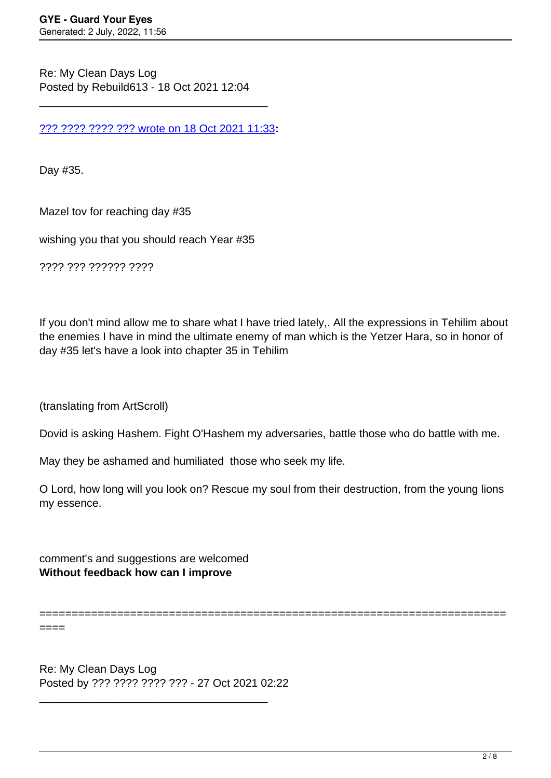Re: My Clean Days Log Posted by Rebuild613 - 18 Oct 2021 12:04

[??? ???? ???? ??? wrote on 18 Oct 2021 11:33](/forum/4-On-the-Way-to-90-Days/373384-Re-My-Clean-Days-Log)**:**

\_\_\_\_\_\_\_\_\_\_\_\_\_\_\_\_\_\_\_\_\_\_\_\_\_\_\_\_\_\_\_\_\_\_\_\_\_

Day #35.

Mazel tov for reaching day #35

wishing you that you should reach Year #35

???? ??? ?????? ????

If you don't mind allow me to share what I have tried lately,. All the expressions in Tehilim about the enemies I have in mind the ultimate enemy of man which is the Yetzer Hara, so in honor of day #35 let's have a look into chapter 35 in Tehilim

(translating from ArtScroll)

Dovid is asking Hashem. Fight O'Hashem my adversaries, battle those who do battle with me.

May they be ashamed and humiliated those who seek my life.

O Lord, how long will you look on? Rescue my soul from their destruction, from the young lions my essence.

comment's and suggestions are welcomed **Without feedback how can I improve**

========================================================================

 $====$ 

Re: My Clean Days Log Posted by ??? ???? ???? ??? - 27 Oct 2021 02:22

\_\_\_\_\_\_\_\_\_\_\_\_\_\_\_\_\_\_\_\_\_\_\_\_\_\_\_\_\_\_\_\_\_\_\_\_\_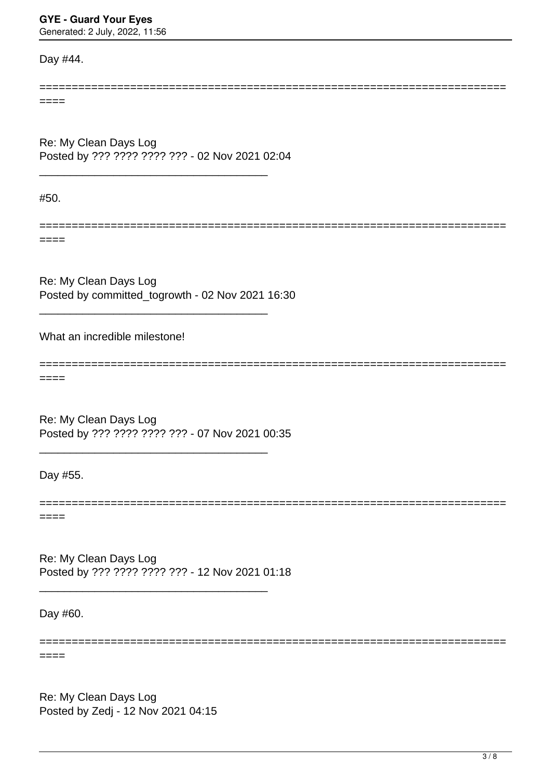## **GYE - Guard Your Eyes**

Generated: 2 July, 2022, 11:56

Day #44.

======================================================================== ====

Re: My Clean Days Log Posted by ??? ???? ???? ??? - 02 Nov 2021 02:04

\_\_\_\_\_\_\_\_\_\_\_\_\_\_\_\_\_\_\_\_\_\_\_\_\_\_\_\_\_\_\_\_\_\_\_\_\_

#50.

====

Re: My Clean Days Log Posted by committed\_togrowth - 02 Nov 2021 16:30

\_\_\_\_\_\_\_\_\_\_\_\_\_\_\_\_\_\_\_\_\_\_\_\_\_\_\_\_\_\_\_\_\_\_\_\_\_

========================================================================

========================================================================

What an incredible milestone!

====

Re: My Clean Days Log Posted by ??? ???? ???? ??? - 07 Nov 2021 00:35

\_\_\_\_\_\_\_\_\_\_\_\_\_\_\_\_\_\_\_\_\_\_\_\_\_\_\_\_\_\_\_\_\_\_\_\_\_

Day #55.

====

Re: My Clean Days Log Posted by ??? ???? ???? ??? - 12 Nov 2021 01:18

\_\_\_\_\_\_\_\_\_\_\_\_\_\_\_\_\_\_\_\_\_\_\_\_\_\_\_\_\_\_\_\_\_\_\_\_\_

Day #60.

======================================================================== ====

Re: My Clean Days Log Posted by Zedj - 12 Nov 2021 04:15 ==========================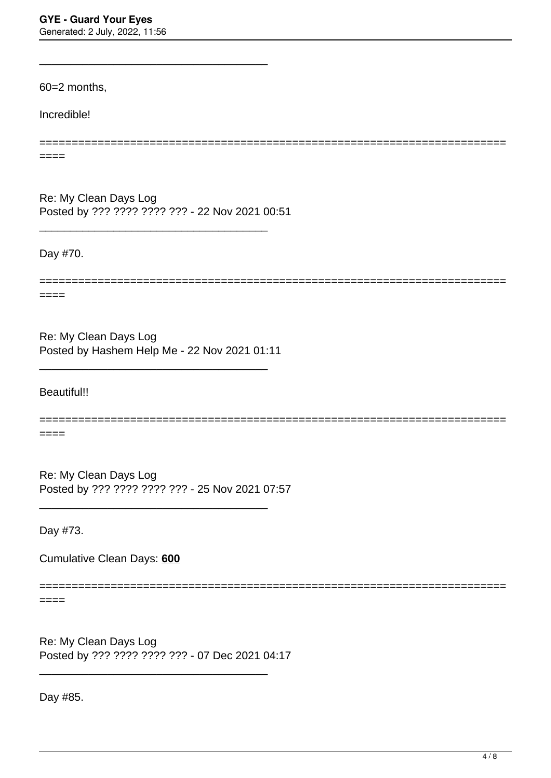60=2 months,

Incredible!

====

Re: My Clean Days Log Posted by ??? ???? ???? ??? - 22 Nov 2021 00:51

\_\_\_\_\_\_\_\_\_\_\_\_\_\_\_\_\_\_\_\_\_\_\_\_\_\_\_\_\_\_\_\_\_\_\_\_\_

\_\_\_\_\_\_\_\_\_\_\_\_\_\_\_\_\_\_\_\_\_\_\_\_\_\_\_\_\_\_\_\_\_\_\_\_\_

Day #70.

========================================================================

========================================================================

====

Re: My Clean Days Log Posted by Hashem Help Me - 22 Nov 2021 01:11

\_\_\_\_\_\_\_\_\_\_\_\_\_\_\_\_\_\_\_\_\_\_\_\_\_\_\_\_\_\_\_\_\_\_\_\_\_

Beautiful!!

======================================================================== ====

Re: My Clean Days Log Posted by ??? ???? ???? ??? - 25 Nov 2021 07:57

\_\_\_\_\_\_\_\_\_\_\_\_\_\_\_\_\_\_\_\_\_\_\_\_\_\_\_\_\_\_\_\_\_\_\_\_\_

Day #73.

Cumulative Clean Days: **600**

========================================================================

 $====$ 

Re: My Clean Days Log Posted by ??? ???? ???? ??? - 07 Dec 2021 04:17

\_\_\_\_\_\_\_\_\_\_\_\_\_\_\_\_\_\_\_\_\_\_\_\_\_\_\_\_\_\_\_\_\_\_\_\_\_

Day #85.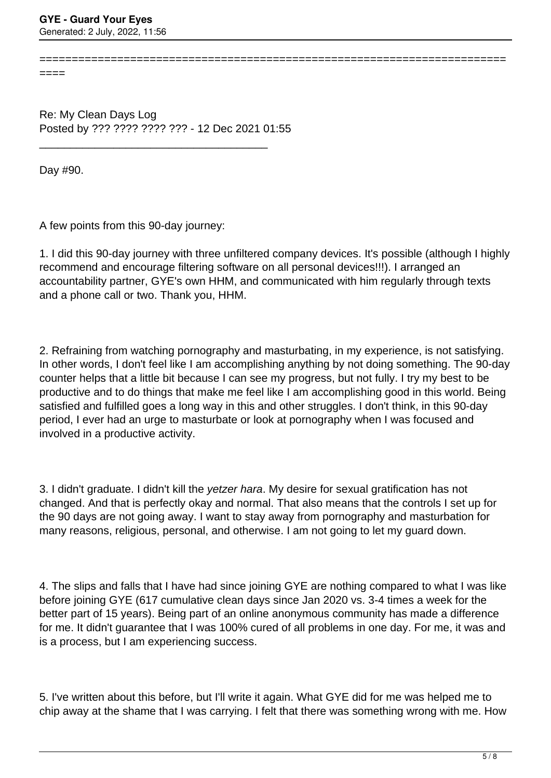====

Re: My Clean Days Log Posted by ??? ???? ???? ??? - 12 Dec 2021 01:55

\_\_\_\_\_\_\_\_\_\_\_\_\_\_\_\_\_\_\_\_\_\_\_\_\_\_\_\_\_\_\_\_\_\_\_\_\_

Day #90.

A few points from this 90-day journey:

1. I did this 90-day journey with three unfiltered company devices. It's possible (although I highly recommend and encourage filtering software on all personal devices!!!). I arranged an accountability partner, GYE's own HHM, and communicated with him regularly through texts and a phone call or two. Thank you, HHM.

========================================================================

2. Refraining from watching pornography and masturbating, in my experience, is not satisfying. In other words, I don't feel like I am accomplishing anything by not doing something. The 90-day counter helps that a little bit because I can see my progress, but not fully. I try my best to be productive and to do things that make me feel like I am accomplishing good in this world. Being satisfied and fulfilled goes a long way in this and other struggles. I don't think, in this 90-day period, I ever had an urge to masturbate or look at pornography when I was focused and involved in a productive activity.

3. I didn't graduate. I didn't kill the yetzer hara. My desire for sexual gratification has not changed. And that is perfectly okay and normal. That also means that the controls I set up for the 90 days are not going away. I want to stay away from pornography and masturbation for many reasons, religious, personal, and otherwise. I am not going to let my guard down.

4. The slips and falls that I have had since joining GYE are nothing compared to what I was like before joining GYE (617 cumulative clean days since Jan 2020 vs. 3-4 times a week for the better part of 15 years). Being part of an online anonymous community has made a difference for me. It didn't guarantee that I was 100% cured of all problems in one day. For me, it was and is a process, but I am experiencing success.

5. I've written about this before, but I'll write it again. What GYE did for me was helped me to chip away at the shame that I was carrying. I felt that there was something wrong with me. How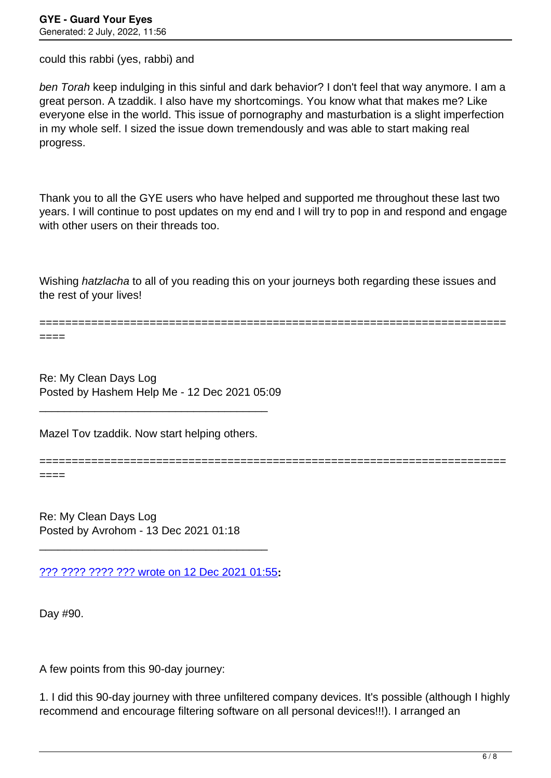could this rabbi (yes, rabbi) and

ben Torah keep indulging in this sinful and dark behavior? I don't feel that way anymore. I am a great person. A tzaddik. I also have my shortcomings. You know what that makes me? Like everyone else in the world. This issue of pornography and masturbation is a slight imperfection in my whole self. I sized the issue down tremendously and was able to start making real progress.

Thank you to all the GYE users who have helped and supported me throughout these last two years. I will continue to post updates on my end and I will try to pop in and respond and engage with other users on their threads too.

Wishing hatzlacha to all of you reading this on your journeys both regarding these issues and the rest of your lives!

========================================================================

========================================================================

====

Re: My Clean Days Log Posted by Hashem Help Me - 12 Dec 2021 05:09

Mazel Tov tzaddik. Now start helping others.

\_\_\_\_\_\_\_\_\_\_\_\_\_\_\_\_\_\_\_\_\_\_\_\_\_\_\_\_\_\_\_\_\_\_\_\_\_

====

Re: My Clean Days Log Posted by Avrohom - 13 Dec 2021 01:18

[??? ???? ???? ??? wrote on 12 Dec 2021 01:55](/forum/4-On-the-Way-to-90-Days/374896-Re-My-Clean-Days-Log)**:**

\_\_\_\_\_\_\_\_\_\_\_\_\_\_\_\_\_\_\_\_\_\_\_\_\_\_\_\_\_\_\_\_\_\_\_\_\_

Day #90.

A few points from this 90-day journey:

1. I did this 90-day journey with three unfiltered company devices. It's possible (although I highly recommend and encourage filtering software on all personal devices!!!). I arranged an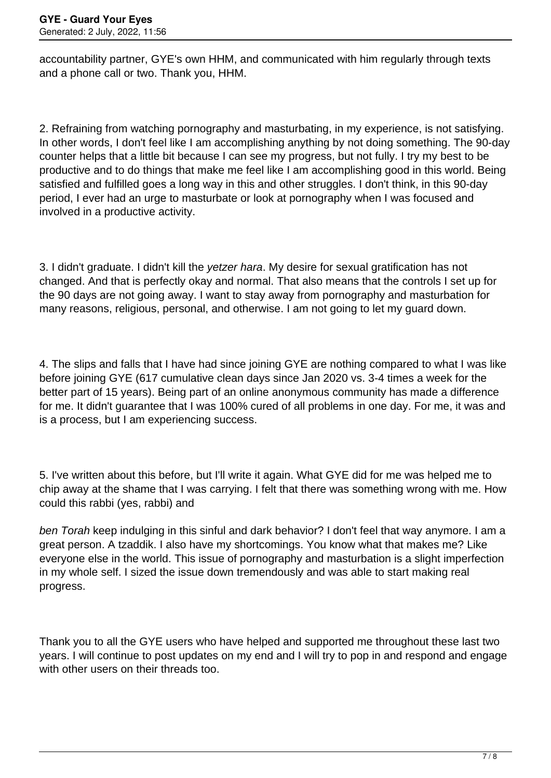accountability partner, GYE's own HHM, and communicated with him regularly through texts and a phone call or two. Thank you, HHM.

2. Refraining from watching pornography and masturbating, in my experience, is not satisfying. In other words, I don't feel like I am accomplishing anything by not doing something. The 90-day counter helps that a little bit because I can see my progress, but not fully. I try my best to be productive and to do things that make me feel like I am accomplishing good in this world. Being satisfied and fulfilled goes a long way in this and other struggles. I don't think, in this 90-day period, I ever had an urge to masturbate or look at pornography when I was focused and involved in a productive activity.

3. I didn't graduate. I didn't kill the yetzer hara. My desire for sexual gratification has not changed. And that is perfectly okay and normal. That also means that the controls I set up for the 90 days are not going away. I want to stay away from pornography and masturbation for many reasons, religious, personal, and otherwise. I am not going to let my guard down.

4. The slips and falls that I have had since joining GYE are nothing compared to what I was like before joining GYE (617 cumulative clean days since Jan 2020 vs. 3-4 times a week for the better part of 15 years). Being part of an online anonymous community has made a difference for me. It didn't guarantee that I was 100% cured of all problems in one day. For me, it was and is a process, but I am experiencing success.

5. I've written about this before, but I'll write it again. What GYE did for me was helped me to chip away at the shame that I was carrying. I felt that there was something wrong with me. How could this rabbi (yes, rabbi) and

ben Torah keep indulging in this sinful and dark behavior? I don't feel that way anymore. I am a great person. A tzaddik. I also have my shortcomings. You know what that makes me? Like everyone else in the world. This issue of pornography and masturbation is a slight imperfection in my whole self. I sized the issue down tremendously and was able to start making real progress.

Thank you to all the GYE users who have helped and supported me throughout these last two years. I will continue to post updates on my end and I will try to pop in and respond and engage with other users on their threads too.